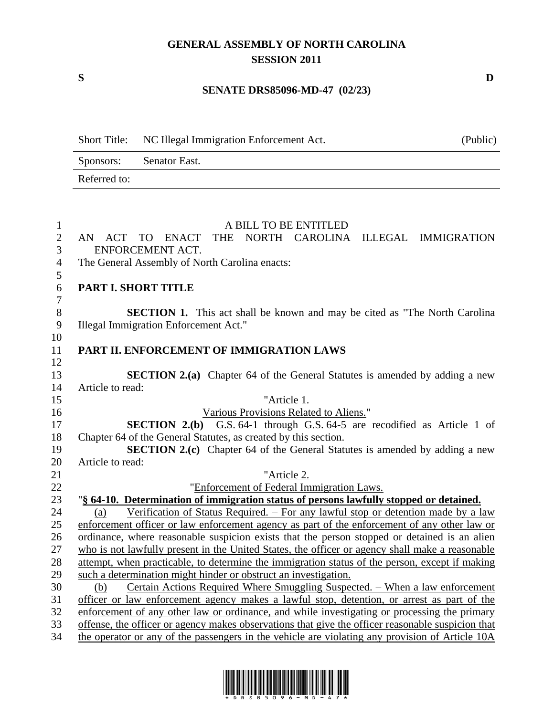## **GENERAL ASSEMBLY OF NORTH CAROLINA SESSION 2011**

## **SENATE DRS85096-MD-47 (02/23)**

|                         | Short Title: NC Illegal Immigration Enforcement Act. | (Public) |
|-------------------------|------------------------------------------------------|----------|
| Sponsors: Senator East. |                                                      |          |
| Referred to:            |                                                      |          |

| $\mathbf{1}$     | A BILL TO BE ENTITLED                                                                             |
|------------------|---------------------------------------------------------------------------------------------------|
| $\overline{2}$   | TO ENACT<br>THE NORTH CAROLINA ILLEGAL IMMIGRATION<br>AN ACT                                      |
| 3                | ENFORCEMENT ACT.                                                                                  |
| $\overline{4}$   | The General Assembly of North Carolina enacts:                                                    |
| 5                |                                                                                                   |
| 6                | PART I. SHORT TITLE                                                                               |
| $\boldsymbol{7}$ |                                                                                                   |
| 8                | <b>SECTION 1.</b> This act shall be known and may be cited as "The North Carolina"                |
| 9                | Illegal Immigration Enforcement Act."                                                             |
| 10               |                                                                                                   |
| 11               | PART II. ENFORCEMENT OF IMMIGRATION LAWS                                                          |
| 12               |                                                                                                   |
| 13               | <b>SECTION 2.(a)</b> Chapter 64 of the General Statutes is amended by adding a new                |
| 14               | Article to read:                                                                                  |
| 15               | "Article 1.                                                                                       |
| 16               | Various Provisions Related to Aliens."                                                            |
| 17               | <b>SECTION 2.(b)</b> G.S. 64-1 through G.S. 64-5 are recodified as Article 1 of                   |
| 18               | Chapter 64 of the General Statutes, as created by this section.                                   |
| 19               | SECTION 2.(c) Chapter 64 of the General Statutes is amended by adding a new                       |
| 20               | Article to read:                                                                                  |
| 21               | "Article 2.                                                                                       |
| 22               | "Enforcement of Federal Immigration Laws.                                                         |
| 23               | "§ 64-10. Determination of immigration status of persons lawfully stopped or detained.            |
| 24               | Verification of Status Required. - For any lawful stop or detention made by a law<br>(a)          |
| 25               | enforcement officer or law enforcement agency as part of the enforcement of any other law or      |
| 26               | ordinance, where reasonable suspicion exists that the person stopped or detained is an alien      |
| 27               | who is not lawfully present in the United States, the officer or agency shall make a reasonable   |
| 28               | attempt, when practicable, to determine the immigration status of the person, except if making    |
| 29               | such a determination might hinder or obstruct an investigation.                                   |
| 30               | Certain Actions Required Where Smuggling Suspected. - When a law enforcement<br>(b)               |
| 31               | officer or law enforcement agency makes a lawful stop, detention, or arrest as part of the        |
| 32               | enforcement of any other law or ordinance, and while investigating or processing the primary      |
| 33               | offense, the officer or agency makes observations that give the officer reasonable suspicion that |
| 34               | the operator or any of the passengers in the vehicle are violating any provision of Article 10A   |



**S D**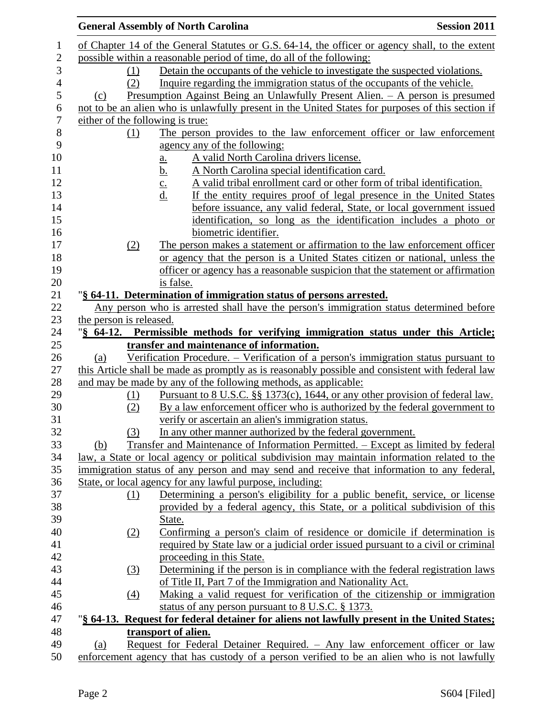|                                                                                     | <b>General Assembly of North Carolina</b>                                                         | <b>Session 2011</b> |
|-------------------------------------------------------------------------------------|---------------------------------------------------------------------------------------------------|---------------------|
|                                                                                     | of Chapter 14 of the General Statutes or G.S. 64-14, the officer or agency shall, to the extent   |                     |
| possible within a reasonable period of time, do all of the following:               |                                                                                                   |                     |
| Detain the occupants of the vehicle to investigate the suspected violations.<br>(1) |                                                                                                   |                     |
|                                                                                     | Inquire regarding the immigration status of the occupants of the vehicle.<br>(2)                  |                     |
| (c)                                                                                 | <u>Presumption Against Being an Unlawfully Present Alien. <math>-</math> A person is presumed</u> |                     |
|                                                                                     | not to be an alien who is unlawfully present in the United States for purposes of this section if |                     |
|                                                                                     | either of the following is true:                                                                  |                     |
|                                                                                     | The person provides to the law enforcement officer or law enforcement<br>(1)                      |                     |
|                                                                                     | agency any of the following:                                                                      |                     |
|                                                                                     | A valid North Carolina drivers license.                                                           |                     |
|                                                                                     | a.<br>A North Carolina special identification card.                                               |                     |
|                                                                                     | <u>b.</u><br>A valid tribal enrollment card or other form of tribal identification.               |                     |
|                                                                                     | $\frac{c}{d}$ .<br>If the entity requires proof of legal presence in the United States            |                     |
|                                                                                     |                                                                                                   |                     |
|                                                                                     | before issuance, any valid federal, State, or local government issued                             |                     |
|                                                                                     | identification, so long as the identification includes a photo or                                 |                     |
|                                                                                     | biometric identifier.                                                                             |                     |
|                                                                                     | The person makes a statement or affirmation to the law enforcement officer<br>(2)                 |                     |
|                                                                                     | or agency that the person is a United States citizen or national, unless the                      |                     |
|                                                                                     | officer or agency has a reasonable suspicion that the statement or affirmation                    |                     |
|                                                                                     | is false.                                                                                         |                     |
|                                                                                     | "§ 64-11. Determination of immigration status of persons arrested.                                |                     |
|                                                                                     | Any person who is arrested shall have the person's immigration status determined before           |                     |
| the person is released.                                                             |                                                                                                   |                     |
|                                                                                     | "§ 64-12. Permissible methods for verifying immigration status under this Article;                |                     |
|                                                                                     | transfer and maintenance of information.                                                          |                     |
| (a)                                                                                 | Verification Procedure. – Verification of a person's immigration status pursuant to               |                     |
|                                                                                     | this Article shall be made as promptly as is reasonably possible and consistent with federal law  |                     |
|                                                                                     | and may be made by any of the following methods, as applicable:                                   |                     |
|                                                                                     | Pursuant to 8 U.S.C. §§ 1373(c), 1644, or any other provision of federal law.<br>(1)              |                     |
|                                                                                     | By a law enforcement officer who is authorized by the federal government to<br>(2)                |                     |
|                                                                                     | verify or ascertain an alien's immigration status.                                                |                     |
|                                                                                     | In any other manner authorized by the federal government.<br>(3)                                  |                     |
| (b)                                                                                 | Transfer and Maintenance of Information Permitted. – Except as limited by federal                 |                     |
|                                                                                     | law, a State or local agency or political subdivision may maintain information related to the     |                     |
|                                                                                     | immigration status of any person and may send and receive that information to any federal,        |                     |
|                                                                                     | State, or local agency for any lawful purpose, including:                                         |                     |
|                                                                                     | Determining a person's eligibility for a public benefit, service, or license<br>(1)               |                     |
|                                                                                     | provided by a federal agency, this State, or a political subdivision of this                      |                     |
|                                                                                     | State.                                                                                            |                     |
|                                                                                     | Confirming a person's claim of residence or domicile if determination is<br>(2)                   |                     |
|                                                                                     | required by State law or a judicial order issued pursuant to a civil or criminal                  |                     |
|                                                                                     | proceeding in this State.                                                                         |                     |
|                                                                                     | Determining if the person is in compliance with the federal registration laws<br>(3)              |                     |
|                                                                                     | of Title II, Part 7 of the Immigration and Nationality Act.                                       |                     |
|                                                                                     | Making a valid request for verification of the citizenship or immigration<br>$\Delta$             |                     |
|                                                                                     | status of any person pursuant to 8 U.S.C. § 1373.                                                 |                     |
|                                                                                     | "§ 64-13. Request for federal detainer for aliens not lawfully present in the United States;      |                     |
|                                                                                     | transport of alien.                                                                               |                     |
| (a)                                                                                 | Request for Federal Detainer Required. - Any law enforcement officer or law                       |                     |
|                                                                                     | enforcement agency that has custody of a person verified to be an alien who is not lawfully       |                     |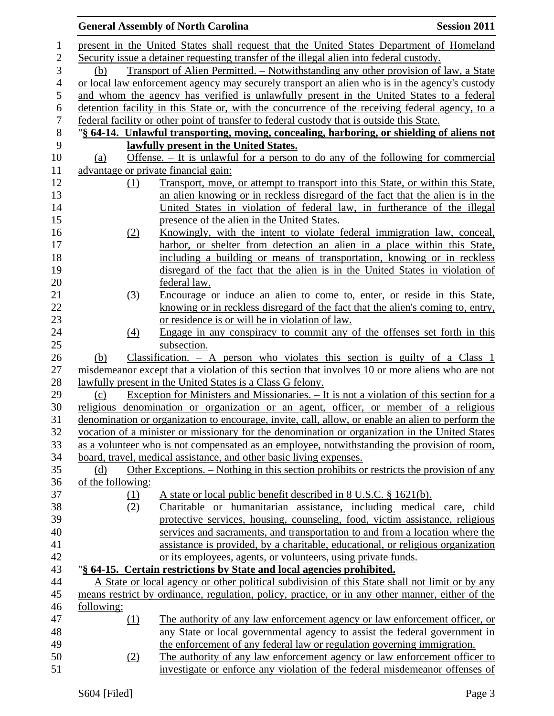|                   | <b>General Assembly of North Carolina</b>                                                                                                                                        | <b>Session 2011</b> |  |
|-------------------|----------------------------------------------------------------------------------------------------------------------------------------------------------------------------------|---------------------|--|
|                   | present in the United States shall request that the United States Department of Homeland                                                                                         |                     |  |
|                   | Security issue a detainer requesting transfer of the illegal alien into federal custody.                                                                                         |                     |  |
| (b)               | Transport of Alien Permitted. – Notwithstanding any other provision of law, a State                                                                                              |                     |  |
|                   | or local law enforcement agency may securely transport an alien who is in the agency's custody                                                                                   |                     |  |
|                   | and whom the agency has verified is unlawfully present in the United States to a federal                                                                                         |                     |  |
|                   | detention facility in this State or, with the concurrence of the receiving federal agency, to a                                                                                  |                     |  |
|                   | federal facility or other point of transfer to federal custody that is outside this State.                                                                                       |                     |  |
|                   | "§ 64-14. Unlawful transporting, moving, concealing, harboring, or shielding of aliens not                                                                                       |                     |  |
|                   | lawfully present in the United States.                                                                                                                                           |                     |  |
| (a)               | Offense. $-$ It is unlawful for a person to do any of the following for commercial                                                                                               |                     |  |
|                   | advantage or private financial gain:                                                                                                                                             |                     |  |
| (1)               | Transport, move, or attempt to transport into this State, or within this State,                                                                                                  |                     |  |
|                   | an alien knowing or in reckless disregard of the fact that the alien is in the                                                                                                   |                     |  |
|                   | United States in violation of federal law, in furtherance of the illegal                                                                                                         |                     |  |
|                   | presence of the alien in the United States.                                                                                                                                      |                     |  |
| (2)               | Knowingly, with the intent to violate federal immigration law, conceal,                                                                                                          |                     |  |
|                   | harbor, or shelter from detection an alien in a place within this State,                                                                                                         |                     |  |
|                   | including a building or means of transportation, knowing or in reckless                                                                                                          |                     |  |
|                   | disregard of the fact that the alien is in the United States in violation of                                                                                                     |                     |  |
|                   | federal law.                                                                                                                                                                     |                     |  |
| (3)               | Encourage or induce an alien to come to, enter, or reside in this State,                                                                                                         |                     |  |
|                   | knowing or in reckless disregard of the fact that the alien's coming to, entry,                                                                                                  |                     |  |
|                   | or residence is or will be in violation of law.                                                                                                                                  |                     |  |
| (4)               | Engage in any conspiracy to commit any of the offenses set forth in this                                                                                                         |                     |  |
|                   | subsection.                                                                                                                                                                      |                     |  |
| (b)               | Classification. $-$ A person who violates this section is guilty of a Class 1                                                                                                    |                     |  |
|                   | misdemeanor except that a violation of this section that involves 10 or more aliens who are not                                                                                  |                     |  |
|                   | lawfully present in the United States is a Class G felony.                                                                                                                       |                     |  |
| (c)               | Exception for Ministers and Missionaries. – It is not a violation of this section for a<br>religious denomination or organization or an agent, officer, or member of a religious |                     |  |
|                   | denomination or organization to encourage, invite, call, allow, or enable an alien to perform the                                                                                |                     |  |
|                   | vocation of a minister or missionary for the denomination or organization in the United States                                                                                   |                     |  |
|                   | as a volunteer who is not compensated as an employee, notwithstanding the provision of room,                                                                                     |                     |  |
|                   | board, travel, medical assistance, and other basic living expenses.                                                                                                              |                     |  |
| (d)               | Other Exceptions. – Nothing in this section prohibits or restricts the provision of any                                                                                          |                     |  |
| of the following: |                                                                                                                                                                                  |                     |  |
| <u>(1)</u>        | A state or local public benefit described in 8 U.S.C. § 1621(b).                                                                                                                 |                     |  |
| (2)               | Charitable or humanitarian assistance, including medical care, child                                                                                                             |                     |  |
|                   | protective services, housing, counseling, food, victim assistance, religious                                                                                                     |                     |  |
|                   | services and sacraments, and transportation to and from a location where the                                                                                                     |                     |  |
|                   | assistance is provided, by a charitable, educational, or religious organization                                                                                                  |                     |  |
|                   | or its employees, agents, or volunteers, using private funds.                                                                                                                    |                     |  |
|                   | "§ 64-15. Certain restrictions by State and local agencies prohibited.                                                                                                           |                     |  |
|                   | A State or local agency or other political subdivision of this State shall not limit or by any                                                                                   |                     |  |
|                   | means restrict by ordinance, regulation, policy, practice, or in any other manner, either of the                                                                                 |                     |  |
| following:        |                                                                                                                                                                                  |                     |  |
| (1)               | The authority of any law enforcement agency or law enforcement officer, or                                                                                                       |                     |  |
|                   | any State or local governmental agency to assist the federal government in                                                                                                       |                     |  |
|                   | the enforcement of any federal law or regulation governing immigration.                                                                                                          |                     |  |
| (2)               | The authority of any law enforcement agency or law enforcement officer to                                                                                                        |                     |  |
|                   | investigate or enforce any violation of the federal misdemeanor offenses of                                                                                                      |                     |  |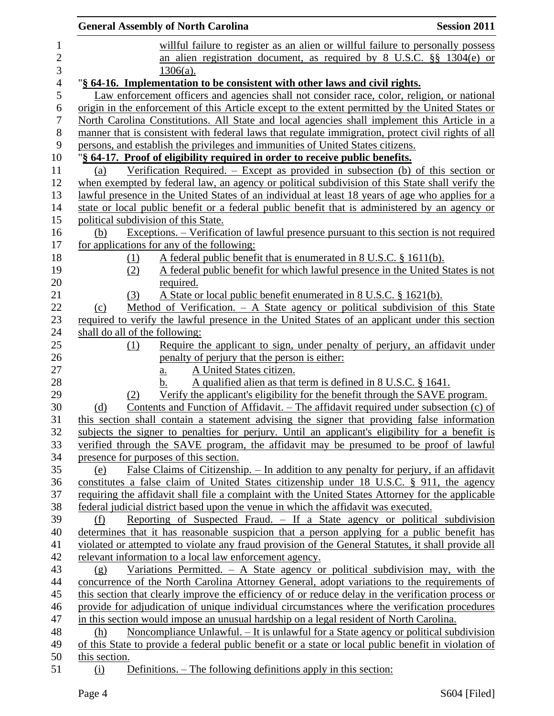|                  | <b>General Assembly of North Carolina</b>                                                                                                                                        | <b>Session 2011</b> |
|------------------|----------------------------------------------------------------------------------------------------------------------------------------------------------------------------------|---------------------|
| $\mathbf{1}$     | willful failure to register as an alien or willful failure to personally possess                                                                                                 |                     |
| $\overline{2}$   | an alien registration document, as required by 8 U.S.C. §§ 1304(e) or                                                                                                            |                     |
| 3                | $1306(a)$ .                                                                                                                                                                      |                     |
| $\overline{4}$   | "§ 64-16. Implementation to be consistent with other laws and civil rights.                                                                                                      |                     |
| 5                | Law enforcement officers and agencies shall not consider race, color, religion, or national                                                                                      |                     |
| 6                | origin in the enforcement of this Article except to the extent permitted by the United States or                                                                                 |                     |
| $\boldsymbol{7}$ | North Carolina Constitutions. All State and local agencies shall implement this Article in a                                                                                     |                     |
| $8\,$            | manner that is consistent with federal laws that regulate immigration, protect civil rights of all                                                                               |                     |
| 9                | persons, and establish the privileges and immunities of United States citizens.                                                                                                  |                     |
| 10               | "§ 64-17. Proof of eligibility required in order to receive public benefits.                                                                                                     |                     |
| 11               | Verification Required. $-$ Except as provided in subsection (b) of this section or<br>(a)                                                                                        |                     |
| 12               | when exempted by federal law, an agency or political subdivision of this State shall verify the                                                                                  |                     |
| 13               | lawful presence in the United States of an individual at least 18 years of age who applies for a                                                                                 |                     |
| 14               | state or local public benefit or a federal public benefit that is administered by an agency or                                                                                   |                     |
| 15               | political subdivision of this State.                                                                                                                                             |                     |
| 16               | Exceptions. – Verification of lawful presence pursuant to this section is not required<br>(b)                                                                                    |                     |
| 17               | for applications for any of the following:                                                                                                                                       |                     |
| 18<br>19         | A federal public benefit that is enumerated in 8 U.S.C. § 1611(b).<br>(1)<br>A federal public benefit for which lawful presence in the United States is not<br>(2)               |                     |
| 20               | required.                                                                                                                                                                        |                     |
| 21               | A State or local public benefit enumerated in 8 U.S.C. § 1621(b).<br>(3)                                                                                                         |                     |
| 22               | Method of Verification. - A State agency or political subdivision of this State<br>(c)                                                                                           |                     |
| 23               | required to verify the lawful presence in the United States of an applicant under this section                                                                                   |                     |
| 24               | shall do all of the following:                                                                                                                                                   |                     |
| 25               | Require the applicant to sign, under penalty of perjury, an affidavit under<br>(1)                                                                                               |                     |
| 26               | penalty of perjury that the person is either:                                                                                                                                    |                     |
| 27               | A United States citizen.<br>a.                                                                                                                                                   |                     |
| 28               | A qualified alien as that term is defined in 8 U.S.C. § 1641.<br>b.                                                                                                              |                     |
| 29               | Verify the applicant's eligibility for the benefit through the SAVE program.<br>(2)                                                                                              |                     |
| 30               | <u>Contents and Function of Affidavit. – The affidavit required under subsection (c) of</u><br>(d)                                                                               |                     |
| 31               | this section shall contain a statement advising the signer that providing false information                                                                                      |                     |
| 32               | subjects the signer to penalties for perjury. Until an applicant's eligibility for a benefit is                                                                                  |                     |
| 33               | verified through the SAVE program, the affidavit may be presumed to be proof of lawful                                                                                           |                     |
| 34               | presence for purposes of this section.                                                                                                                                           |                     |
| 35               | <u> False Claims of Citizenship. – In addition to any penalty for perjury, if an affidavit</u><br>(e)                                                                            |                     |
| 36               | constitutes a false claim of United States citizenship under 18 U.S.C. § 911, the agency                                                                                         |                     |
| 37               | requiring the affidavit shall file a complaint with the United States Attorney for the applicable                                                                                |                     |
| 38               | federal judicial district based upon the venue in which the affidavit was executed.                                                                                              |                     |
| 39<br>40         | Reporting of Suspected Fraud. - If a State agency or political subdivision<br>(f)<br>determines that it has reasonable suspicion that a person applying for a public benefit has |                     |
| 41               | violated or attempted to violate any fraud provision of the General Statutes, it shall provide all                                                                               |                     |
| 42               | relevant information to a local law enforcement agency.                                                                                                                          |                     |
| 43               | Variations Permitted. $-$ A State agency or political subdivision may, with the<br>(g)                                                                                           |                     |
| 44               | concurrence of the North Carolina Attorney General, adopt variations to the requirements of                                                                                      |                     |
| 45               | this section that clearly improve the efficiency of or reduce delay in the verification process or                                                                               |                     |
| 46               | provide for adjudication of unique individual circumstances where the verification procedures                                                                                    |                     |
| 47               | in this section would impose an unusual hardship on a legal resident of North Carolina.                                                                                          |                     |
| 48               | Noncompliance Unlawful. - It is unlawful for a State agency or political subdivision<br>(h)                                                                                      |                     |
| 49               | of this State to provide a federal public benefit or a state or local public benefit in violation of                                                                             |                     |
| 50               | this section.                                                                                                                                                                    |                     |
| 51               | Definitions. - The following definitions apply in this section:<br>(i)                                                                                                           |                     |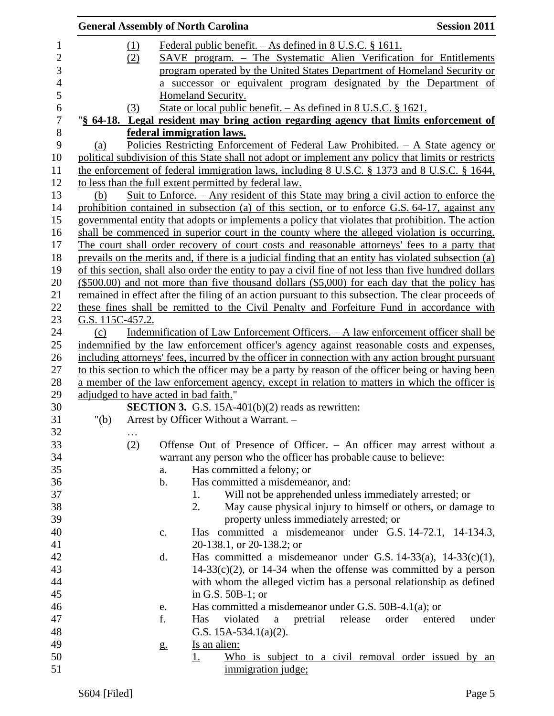|                  |                  |          | <b>General Assembly of North Carolina</b>                                                              | <b>Session 2011</b>       |
|------------------|------------------|----------|--------------------------------------------------------------------------------------------------------|---------------------------|
| $\mathbf{1}$     |                  | $\Omega$ | <u>Federal public benefit. <math>-</math> As defined in 8 U.S.C. § 1611.</u>                           |                           |
| $\overline{c}$   |                  | (2)      | SAVE program. – The Systematic Alien Verification for Entitlements                                     |                           |
| 3                |                  |          | program operated by the United States Department of Homeland Security or                               |                           |
| $\overline{4}$   |                  |          | a successor or equivalent program designated by the Department of                                      |                           |
| 5                |                  |          | Homeland Security.                                                                                     |                           |
| 6                |                  | (3)      | State or local public benefit. $-$ As defined in 8 U.S.C. § 1621.                                      |                           |
| $\boldsymbol{7}$ |                  |          | "§ 64-18. Legal resident may bring action regarding agency that limits enforcement of                  |                           |
| $8\,$            |                  |          | federal immigration laws.                                                                              |                           |
| 9                | (a)              |          | <u> Policies Restricting Enforcement of Federal Law Prohibited. – A State agency or</u>                |                           |
| 10               |                  |          | political subdivision of this State shall not adopt or implement any policy that limits or restricts   |                           |
| 11               |                  |          | the enforcement of federal immigration laws, including 8 U.S.C. § 1373 and 8 U.S.C. § 1644,            |                           |
| 12               |                  |          | to less than the full extent permitted by federal law.                                                 |                           |
| 13               | (b)              |          | Suit to Enforce. $-$ Any resident of this State may bring a civil action to enforce the                |                           |
| 14               |                  |          | prohibition contained in subsection (a) of this section, or to enforce G.S. 64-17, against any         |                           |
| 15               |                  |          | governmental entity that adopts or implements a policy that violates that prohibition. The action      |                           |
| 16               |                  |          | shall be commenced in superior court in the county where the alleged violation is occurring.           |                           |
| 17               |                  |          | The court shall order recovery of court costs and reasonable attorneys' fees to a party that           |                           |
| 18               |                  |          | prevails on the merits and, if there is a judicial finding that an entity has violated subsection (a)  |                           |
| 19               |                  |          | of this section, shall also order the entity to pay a civil fine of not less than five hundred dollars |                           |
| 20               |                  |          | $(\$500.00)$ and not more than five thousand dollars $(\$5,000)$ for each day that the policy has      |                           |
| 21               |                  |          | remained in effect after the filing of an action pursuant to this subsection. The clear proceeds of    |                           |
| 22               |                  |          | these fines shall be remitted to the Civil Penalty and Forfeiture Fund in accordance with              |                           |
| 23               | G.S. 115C-457.2. |          |                                                                                                        |                           |
| 24               | (c)              |          | Indemnification of Law Enforcement Officers. - A law enforcement officer shall be                      |                           |
| 25               |                  |          | indemnified by the law enforcement officer's agency against reasonable costs and expenses,             |                           |
| 26               |                  |          | including attorneys' fees, incurred by the officer in connection with any action brought pursuant      |                           |
| 27               |                  |          | to this section to which the officer may be a party by reason of the officer being or having been      |                           |
| 28               |                  |          | a member of the law enforcement agency, except in relation to matters in which the officer is          |                           |
| 29               |                  |          | adjudged to have acted in bad faith."                                                                  |                           |
| 30               |                  |          | <b>SECTION 3.</b> G.S. 15A-401(b) $(2)$ reads as rewritten:                                            |                           |
| 31               | " $(b)$          |          | Arrest by Officer Without a Warrant. -                                                                 |                           |
| 32               |                  | $\cdots$ |                                                                                                        |                           |
| 33               |                  | (2)      | Offense Out of Presence of Officer. - An officer may arrest without a                                  |                           |
| 34               |                  |          | warrant any person who the officer has probable cause to believe:                                      |                           |
| 35               |                  |          | Has committed a felony; or<br>a.                                                                       |                           |
| 36               |                  |          | Has committed a misdemeanor, and:<br>$\mathbf b$ .                                                     |                           |
| 37               |                  |          | Will not be apprehended unless immediately arrested; or<br>1.                                          |                           |
| 38               |                  |          | May cause physical injury to himself or others, or damage to<br>2.                                     |                           |
| 39               |                  |          | property unless immediately arrested; or                                                               |                           |
| 40               |                  |          | Has committed a misdemeanor under G.S. 14-72.1, 14-134.3,<br>c.                                        |                           |
| 41               |                  |          | 20-138.1, or 20-138.2; or                                                                              |                           |
| 42               |                  |          | Has committed a misdemeanor under G.S. $14-33(a)$ , $14-33(c)(1)$ ,<br>d.                              |                           |
| 43               |                  |          | $14-33(c)(2)$ , or 14-34 when the offense was committed by a person                                    |                           |
| 44               |                  |          | with whom the alleged victim has a personal relationship as defined                                    |                           |
| 45               |                  |          | in G.S. $50B-1$ ; or                                                                                   |                           |
| 46               |                  |          | Has committed a misdemeanor under G.S. $50B-4.1(a)$ ; or<br>e.                                         |                           |
| 47               |                  |          | f.<br>release<br>Has<br>violated<br>pretrial<br>a                                                      | order<br>under<br>entered |
| 48               |                  |          | G.S. $15A-534.1(a)(2)$ .                                                                               |                           |
| 49               |                  |          | Is an alien:<br>g <sub>1</sub>                                                                         |                           |
| 50               |                  |          | Who is subject to a civil removal order issued by an<br><u>1.</u>                                      |                           |
| 51               |                  |          | immigration judge;                                                                                     |                           |